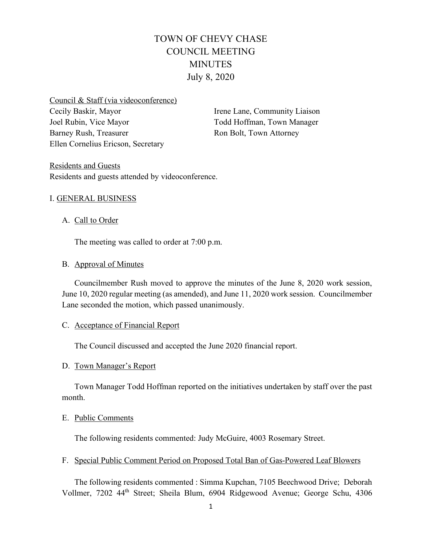# TOWN OF CHEVY CHASE COUNCIL MEETING MINUTES July 8, 2020

Council & Staff (via videoconference) Cecily Baskir, Mayor Joel Rubin, Vice Mayor Barney Rush, Treasurer Ellen Cornelius Ericson, Secretary

Irene Lane, Community Liaison Todd Hoffman, Town Manager Ron Bolt, Town Attorney

Residents and Guests Residents and guests attended by videoconference.

## I. GENERAL BUSINESS

## A. Call to Order

The meeting was called to order at 7:00 p.m.

#### B. Approval of Minutes

Councilmember Rush moved to approve the minutes of the June 8, 2020 work session, June 10, 2020 regular meeting (as amended), and June 11, 2020 work session. Councilmember Lane seconded the motion, which passed unanimously.

#### C. Acceptance of Financial Report

The Council discussed and accepted the June 2020 financial report.

#### D. Town Manager's Report

Town Manager Todd Hoffman reported on the initiatives undertaken by staff over the past month.

#### E. Public Comments

The following residents commented: Judy McGuire, 4003 Rosemary Street.

#### F. Special Public Comment Period on Proposed Total Ban of Gas-Powered Leaf Blowers

The following residents commented : Simma Kupchan, 7105 Beechwood Drive; Deborah Vollmer, 7202 44th Street; Sheila Blum, 6904 Ridgewood Avenue; George Schu, 4306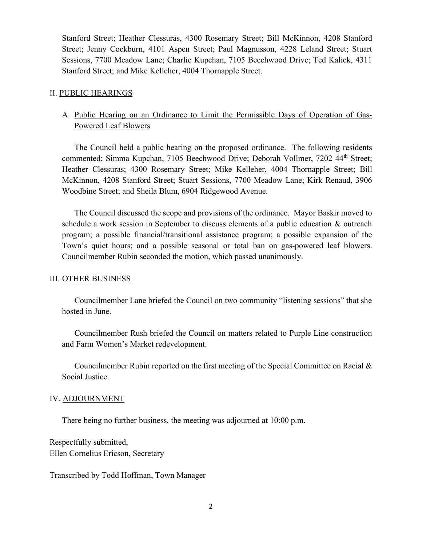Stanford Street; Heather Clessuras, 4300 Rosemary Street; Bill McKinnon, 4208 Stanford Street; Jenny Cockburn, 4101 Aspen Street; Paul Magnusson, 4228 Leland Street; Stuart Sessions, 7700 Meadow Lane; Charlie Kupchan, 7105 Beechwood Drive; Ted Kalick, 4311 Stanford Street; and Mike Kelleher, 4004 Thornapple Street.

#### II. PUBLIC HEARINGS

# A. Public Hearing on an Ordinance to Limit the Permissible Days of Operation of Gas-Powered Leaf Blowers

The Council held a public hearing on the proposed ordinance. The following residents commented: Simma Kupchan, 7105 Beechwood Drive; Deborah Vollmer, 7202 44<sup>th</sup> Street; Heather Clessuras; 4300 Rosemary Street; Mike Kelleher, 4004 Thornapple Street; Bill McKinnon, 4208 Stanford Street; Stuart Sessions, 7700 Meadow Lane; Kirk Renaud, 3906 Woodbine Street; and Sheila Blum, 6904 Ridgewood Avenue.

The Council discussed the scope and provisions of the ordinance. Mayor Baskir moved to schedule a work session in September to discuss elements of a public education & outreach program; a possible financial/transitional assistance program; a possible expansion of the Town's quiet hours; and a possible seasonal or total ban on gas-powered leaf blowers. Councilmember Rubin seconded the motion, which passed unanimously.

#### III. OTHER BUSINESS

Councilmember Lane briefed the Council on two community "listening sessions" that she hosted in June.

Councilmember Rush briefed the Council on matters related to Purple Line construction and Farm Women's Market redevelopment.

Councilmember Rubin reported on the first meeting of the Special Committee on Racial & Social Justice.

#### IV. ADJOURNMENT

There being no further business, the meeting was adjourned at 10:00 p.m.

Respectfully submitted, Ellen Cornelius Ericson, Secretary

Transcribed by Todd Hoffman, Town Manager